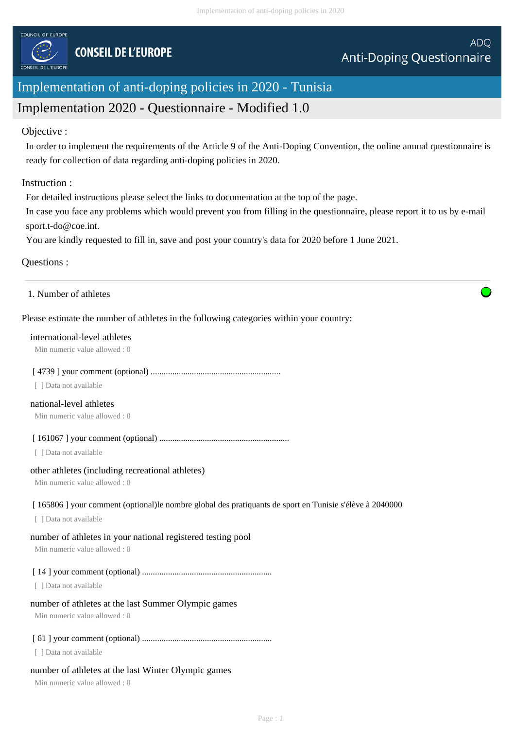

# Implementation of anti-doping policies in 2020 - Tunisia

# Implementation 2020 - Questionnaire - Modified 1.0

# Objective :

In order to implement the requirements of the Article 9 of the Anti-Doping Convention, the online annual questionnaire is ready for collection of data regarding anti-doping policies in 2020.

# Instruction :

For detailed instructions please select the links to documentation at the top of the page.

In case you face any problems which would prevent you from filling in the questionnaire, please report it to us by e-mail sport.t-do@coe.int.

You are kindly requested to fill in, save and post your country's data for 2020 before 1 June 2021.

# Questions :

## 1. Number of athletes

# Please estimate the number of athletes in the following categories within your country:

#### international-level athletes

Min numeric value allowed : 0

#### [ 4739 ] your comment (optional) ............................................................

[ ] Data not available

# national-level athletes

Min numeric value allowed : 0

# [ 161067 ] your comment (optional) ............................................................

[ ] Data not available

# other athletes (including recreational athletes)

Min numeric value allowed : 0

#### [ 165806 ] your comment (optional)le nombre global des pratiquants de sport en Tunisie s'élève à 2040000

[ ] Data not available

# number of athletes in your national registered testing pool

Min numeric value allowed : 0

# [ 14 ] your comment (optional) ............................................................

[ ] Data not available

# number of athletes at the last Summer Olympic games

Min numeric value allowed : 0

# [ 61 ] your comment (optional) ............................................................

[ ] Data not available

# number of athletes at the last Winter Olympic games

Min numeric value allowed : 0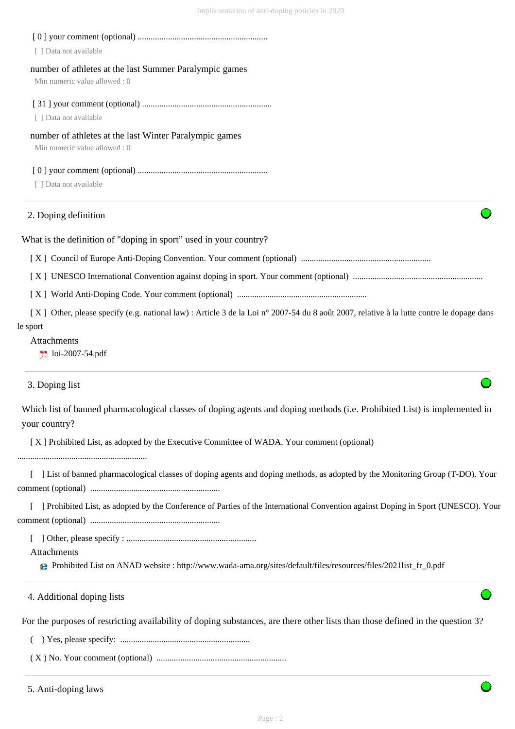| [ ] Data not available                                                                                                                     |
|--------------------------------------------------------------------------------------------------------------------------------------------|
| number of athletes at the last Summer Paralympic games                                                                                     |
| Min numeric value allowed: 0                                                                                                               |
|                                                                                                                                            |
| [ ] Data not available                                                                                                                     |
| number of athletes at the last Winter Paralympic games<br>Min numeric value allowed: 0                                                     |
| [ ] Data not available                                                                                                                     |
| 2. Doping definition                                                                                                                       |
| What is the definition of "doping in sport" used in your country?                                                                          |
|                                                                                                                                            |
|                                                                                                                                            |
|                                                                                                                                            |
| [X] Other, please specify (e.g. national law) : Article 3 de la Loi n° 2007-54 du 8 août 2007, relative à la lutte contre le dopage dans   |
| le sport                                                                                                                                   |
| Attachments<br>$\uparrow$ loi-2007-54.pdf                                                                                                  |
| 3. Doping list                                                                                                                             |
| Which list of banned pharmacological classes of doping agents and doping methods (i.e. Prohibited List) is implemented in<br>your country? |
| [X] Prohibited List, as adopted by the Executive Committee of WADA. Your comment (optional)                                                |
| [ ] List of banned pharmacological classes of doping agents and doping methods, as adopted by the Monitoring Group (T-DO). Your            |
| [ ] Prohibited List, as adopted by the Conference of Parties of the International Convention against Doping in Sport (UNESCO). Your        |
|                                                                                                                                            |
| Attachments<br><b>@</b> Prohibited List on ANAD website : http://www.wada-ama.org/sites/default/files/resources/files/2021list_fr_0.pdf    |
| 4. Additional doping lists                                                                                                                 |
| For the purposes of restricting availability of doping substances, are there other lists than those defined in the question 3?             |
|                                                                                                                                            |
|                                                                                                                                            |
| 5. Anti-doping laws                                                                                                                        |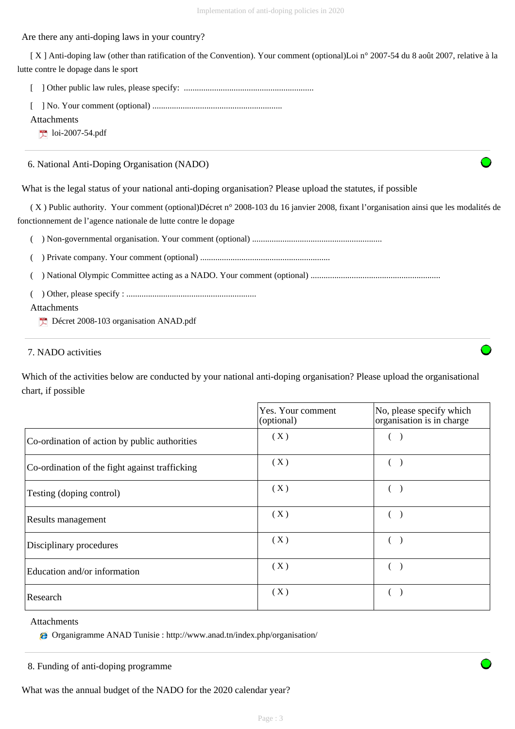Are there any anti-doping laws in your country?

 [ X ] Anti-doping law (other than ratification of the Convention). Your comment (optional)Loi n° 2007-54 du 8 août 2007, relative à la lutte contre le dopage dans le sport

|--|--|--|--|

[ ] No. Your comment (optional) ............................................................

loi-2007-54.pdf

6. National Anti-Doping Organisation (NADO)

What is the legal status of your national anti-doping organisation? Please upload the statutes, if possible

 ( X ) Public authority. Your comment (optional)Décret n° 2008-103 du 16 janvier 2008, fixant l'organisation ainsi que les modalités de fonctionnement de l'agence nationale de lutte contre le dopage

( ) Non-governmental organisation. Your comment (optional) ............................................................

( ) Private company. Your comment (optional) ............................................................

( ) National Olympic Committee acting as a NADO. Your comment (optional) ............................................................

( ) Other, please specify : ............................................................

## Attachments

Décret 2008-103 organisation ANAD.pdf

## 7. NADO activities

Which of the activities below are conducted by your national anti-doping organisation? Please upload the organisational chart, if possible

|                                                | Yes. Your comment<br>(optional) | No, please specify which<br>organisation is in charge |
|------------------------------------------------|---------------------------------|-------------------------------------------------------|
| Co-ordination of action by public authorities  | (X)                             |                                                       |
| Co-ordination of the fight against trafficking | (X)                             |                                                       |
| Testing (doping control)                       | (X)                             |                                                       |
| Results management                             | (X)                             |                                                       |
| Disciplinary procedures                        | (X)                             |                                                       |
| Education and/or information                   | (X)                             |                                                       |
| Research                                       | (X)                             |                                                       |

# Attachments

Organigramme ANAD Tunisie : http://www.anad.tn/index.php/organisation/

What was the annual budget of the NADO for the 2020 calendar year?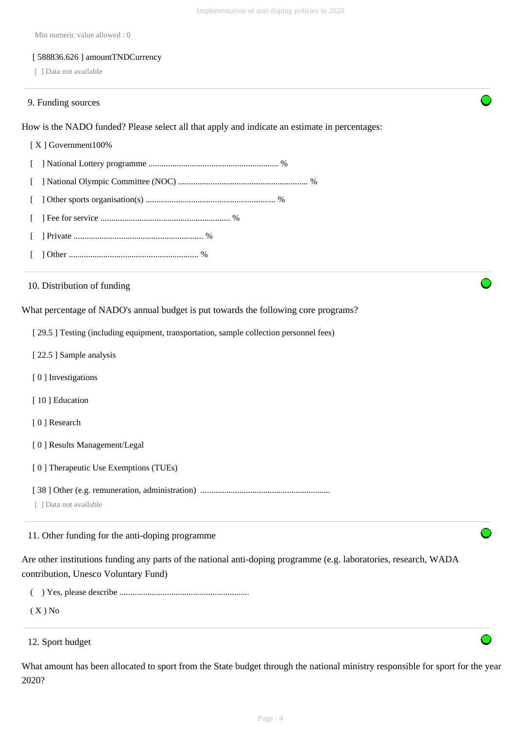Min numeric value allowed : 0

#### [ 588836.626 ] amountTNDCurrency

[ ] Data not available

#### 9. Funding sources

How is the NADO funded? Please select all that apply and indicate an estimate in percentages:

# [ X ] Government100%

- [ ] National Lottery programme ............................................................ %
- [ ] National Olympic Committee (NOC) ............................................................ %
- [ ] Other sports organisation(s) ............................................................ %
- [ ] Fee for service ............................................................ %
- [ ] Private ............................................................ %
- [ ] Other ............................................................ %

#### 10. Distribution of funding

What percentage of NADO's annual budget is put towards the following core programs?

[ 29.5 ] Testing (including equipment, transportation, sample collection personnel fees)

- [ 22.5 ] Sample analysis
- [ 0 ] Investigations
- [ 10 ] Education
- [ 0 ] Research
- [ 0 ] Results Management/Legal
- [ 0 ] Therapeutic Use Exemptions (TUEs)
- [ 38 ] Other (e.g. remuneration, administration) ............................................................
- [ ] Data not available

# 11. Other funding for the anti-doping programme

Are other institutions funding any parts of the national anti-doping programme (e.g. laboratories, research, WADA contribution, Unesco Voluntary Fund)

( ) Yes, please describe ............................................................

 $(X)$  No

What amount has been allocated to sport from the State budget through the national ministry responsible for sport for the year 2020?

<sup>12.</sup> Sport budget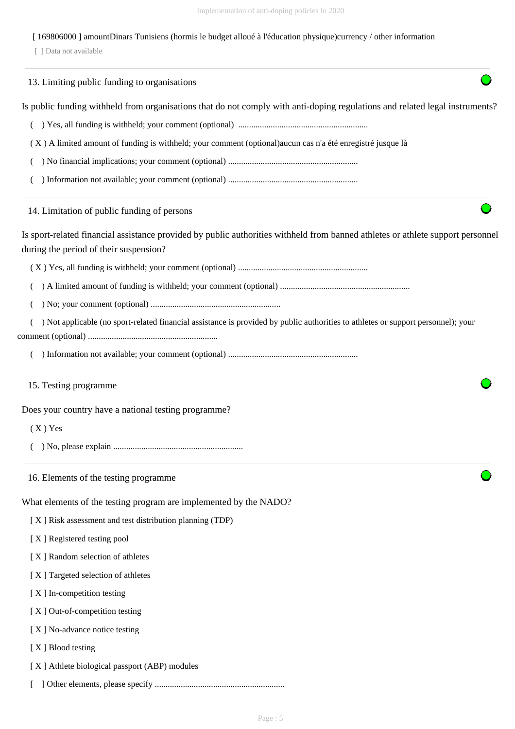[ 169806000 ] amountDinars Tunisiens (hormis le budget alloué à l'éducation physique)currency / other information

[ ] Data not available

| 13. Limiting public funding to organisations                                                                                                                              |  |
|---------------------------------------------------------------------------------------------------------------------------------------------------------------------------|--|
| Is public funding withheld from organisations that do not comply with anti-doping regulations and related legal instruments?                                              |  |
|                                                                                                                                                                           |  |
| (X) A limited amount of funding is withheld; your comment (optional) aucun cas n'a été enregistré jusque là                                                               |  |
|                                                                                                                                                                           |  |
|                                                                                                                                                                           |  |
| 14. Limitation of public funding of persons                                                                                                                               |  |
| Is sport-related financial assistance provided by public authorities withheld from banned athletes or athlete support personnel<br>during the period of their suspension? |  |
|                                                                                                                                                                           |  |
|                                                                                                                                                                           |  |
|                                                                                                                                                                           |  |
| ) Not applicable (no sport-related financial assistance is provided by public authorities to athletes or support personnel); your                                         |  |
|                                                                                                                                                                           |  |
|                                                                                                                                                                           |  |
| 15. Testing programme                                                                                                                                                     |  |
| Does your country have a national testing programme?                                                                                                                      |  |
| $(X)$ Yes                                                                                                                                                                 |  |
|                                                                                                                                                                           |  |
| 16. Elements of the testing programme                                                                                                                                     |  |
| What elements of the testing program are implemented by the NADO?                                                                                                         |  |
| [X] Risk assessment and test distribution planning (TDP)                                                                                                                  |  |
| [X] Registered testing pool                                                                                                                                               |  |
| [X] Random selection of athletes                                                                                                                                          |  |
| [X] Targeted selection of athletes                                                                                                                                        |  |
| [X] In-competition testing                                                                                                                                                |  |
| [X] Out-of-competition testing                                                                                                                                            |  |
| [X] No-advance notice testing                                                                                                                                             |  |
| [X] Blood testing                                                                                                                                                         |  |
| [X] Athlete biological passport (ABP) modules                                                                                                                             |  |
|                                                                                                                                                                           |  |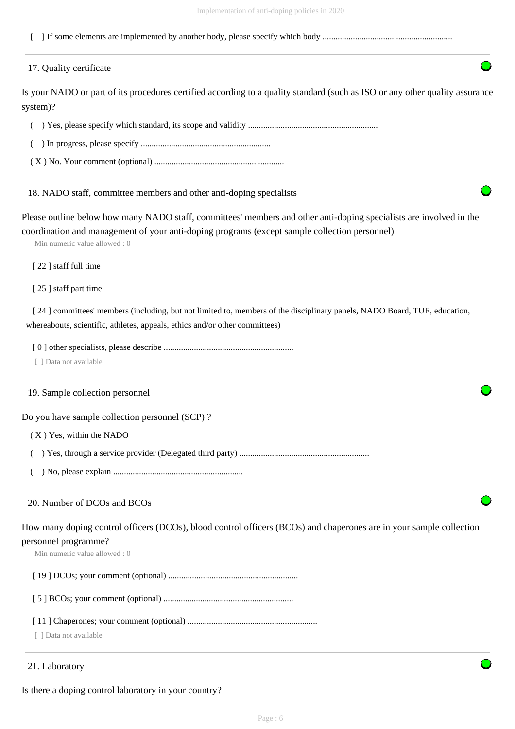|--|

| 17. Quality certificate                              |                                                                                                                                                                                                         |
|------------------------------------------------------|---------------------------------------------------------------------------------------------------------------------------------------------------------------------------------------------------------|
| system)?                                             | Is your NADO or part of its procedures certified according to a quality standard (such as ISO or any other quality assurance                                                                            |
|                                                      |                                                                                                                                                                                                         |
|                                                      |                                                                                                                                                                                                         |
|                                                      |                                                                                                                                                                                                         |
|                                                      | 18. NADO staff, committee members and other anti-doping specialists                                                                                                                                     |
|                                                      | Please outline below how many NADO staff, committees' members and other anti-doping specialists are involved in the                                                                                     |
| Min numeric value allowed: 0                         | coordination and management of your anti-doping programs (except sample collection personnel)                                                                                                           |
| [22] staff full time                                 |                                                                                                                                                                                                         |
| [25] staff part time                                 |                                                                                                                                                                                                         |
|                                                      | [24] committees' members (including, but not limited to, members of the disciplinary panels, NADO Board, TUE, education,<br>whereabouts, scientific, athletes, appeals, ethics and/or other committees) |
|                                                      |                                                                                                                                                                                                         |
| [ ] Data not available                               |                                                                                                                                                                                                         |
| 19. Sample collection personnel                      |                                                                                                                                                                                                         |
| Do you have sample collection personnel (SCP)?       |                                                                                                                                                                                                         |
| (X) Yes, within the NADO                             |                                                                                                                                                                                                         |
|                                                      |                                                                                                                                                                                                         |
|                                                      |                                                                                                                                                                                                         |
| 20. Number of DCOs and BCOs                          |                                                                                                                                                                                                         |
|                                                      | How many doping control officers (DCOs), blood control officers (BCOs) and chaperones are in your sample collection                                                                                     |
| personnel programme?<br>Min numeric value allowed: 0 |                                                                                                                                                                                                         |
|                                                      |                                                                                                                                                                                                         |
|                                                      |                                                                                                                                                                                                         |
|                                                      |                                                                                                                                                                                                         |
| [ ] Data not available                               |                                                                                                                                                                                                         |

# Is there a doping control laboratory in your country?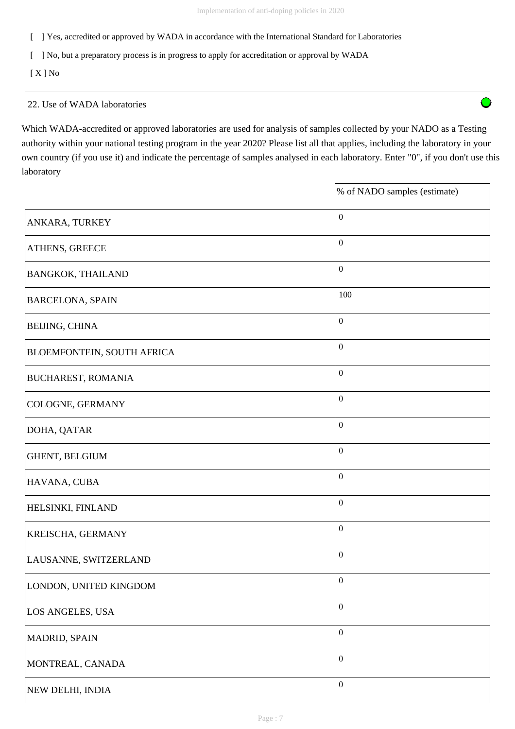[ ] Yes, accredited or approved by WADA in accordance with the International Standard for Laboratories

[ ] No, but a preparatory process is in progress to apply for accreditation or approval by WADA

[ X ] No

# 22. Use of WADA laboratories

Which WADA-accredited or approved laboratories are used for analysis of samples collected by your NADO as a Testing authority within your national testing program in the year 2020? Please list all that applies, including the laboratory in your own country (if you use it) and indicate the percentage of samples analysed in each laboratory. Enter "0", if you don't use this laboratory

|                            | % of NADO samples (estimate) |
|----------------------------|------------------------------|
| ANKARA, TURKEY             | $\boldsymbol{0}$             |
| ATHENS, GREECE             | $\boldsymbol{0}$             |
| <b>BANGKOK, THAILAND</b>   | $\boldsymbol{0}$             |
| <b>BARCELONA, SPAIN</b>    | 100                          |
| BEIJING, CHINA             | $\boldsymbol{0}$             |
| BLOEMFONTEIN, SOUTH AFRICA | $\boldsymbol{0}$             |
| <b>BUCHAREST, ROMANIA</b>  | $\boldsymbol{0}$             |
| COLOGNE, GERMANY           | $\boldsymbol{0}$             |
| DOHA, QATAR                | $\boldsymbol{0}$             |
| GHENT, BELGIUM             | $\boldsymbol{0}$             |
| HAVANA, CUBA               | $\boldsymbol{0}$             |
| HELSINKI, FINLAND          | $\boldsymbol{0}$             |
| KREISCHA, GERMANY          | $\boldsymbol{0}$             |
| LAUSANNE, SWITZERLAND      | $\boldsymbol{0}$             |
| LONDON, UNITED KINGDOM     | $\boldsymbol{0}$             |
| LOS ANGELES, USA           | $\boldsymbol{0}$             |
| MADRID, SPAIN              | $\boldsymbol{0}$             |
| MONTREAL, CANADA           | $\boldsymbol{0}$             |
| NEW DELHI, INDIA           | $\boldsymbol{0}$             |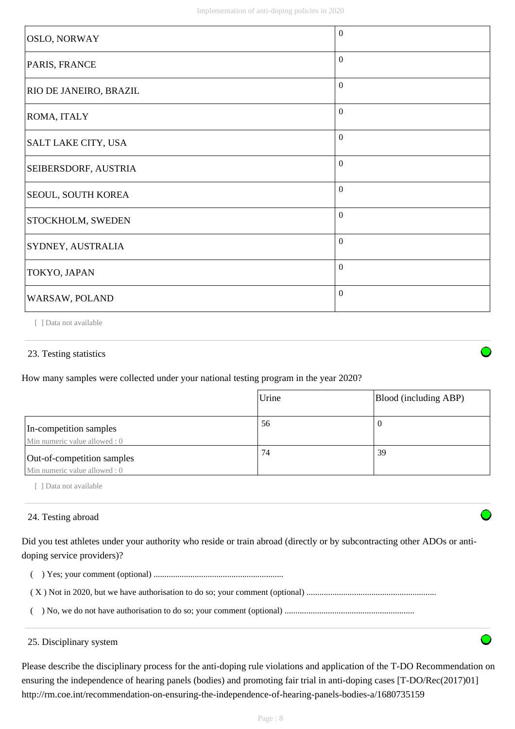| <b>OSLO, NORWAY</b>        | $\mathbf{0}$   |
|----------------------------|----------------|
| PARIS, FRANCE              | $\overline{0}$ |
| RIO DE JANEIRO, BRAZIL     | $\overline{0}$ |
| ROMA, ITALY                | $\overline{0}$ |
| <b>SALT LAKE CITY, USA</b> | $\mathbf{0}$   |
| SEIBERSDORF, AUSTRIA       | $\mathbf{0}$   |
| <b>SEOUL, SOUTH KOREA</b>  | $\mathbf{0}$   |
| STOCKHOLM, SWEDEN          | $\mathbf{0}$   |
| SYDNEY, AUSTRALIA          | $\mathbf{0}$   |
| TOKYO, JAPAN               | $\overline{0}$ |
| WARSAW, POLAND             | $\mathbf{0}$   |

[ ] Data not available

#### 23. Testing statistics

How many samples were collected under your national testing program in the year 2020?

|                                                             | Urine | Blood (including ABP) |
|-------------------------------------------------------------|-------|-----------------------|
| In-competition samples<br>Min numeric value allowed : 0     | 56    | 0                     |
| Out-of-competition samples<br>Min numeric value allowed : 0 | 74    | 39                    |

[ ] Data not available

# 24. Testing abroad

Did you test athletes under your authority who reside or train abroad (directly or by subcontracting other ADOs or antidoping service providers)?

( ) Yes; your comment (optional) ............................................................

( X ) Not in 2020, but we have authorisation to do so; your comment (optional) ............................................................

( ) No, we do not have authorisation to do so; your comment (optional) ............................................................

## 25. Disciplinary system

Please describe the disciplinary process for the anti-doping rule violations and application of the T-DO Recommendation on ensuring the independence of hearing panels (bodies) and promoting fair trial in anti-doping cases [T-DO/Rec(2017)01] http://rm.coe.int/recommendation-on-ensuring-the-independence-of-hearing-panels-bodies-a/1680735159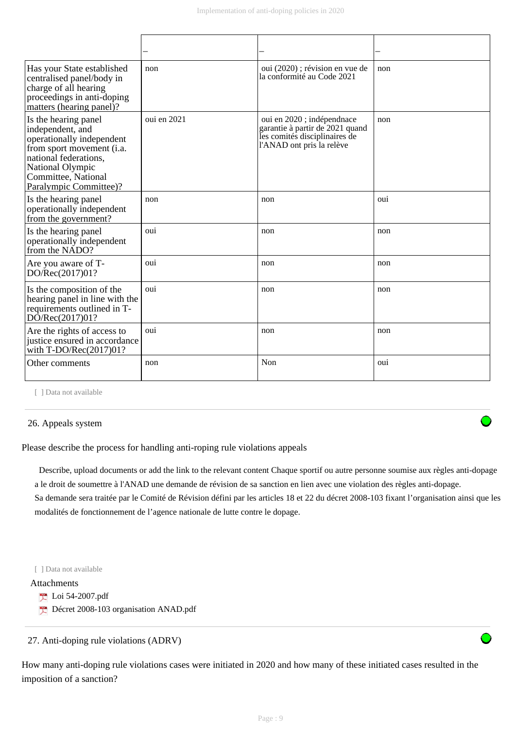| Has your State established<br>centralised panel/body in<br>charge of all hearing<br>proceedings in anti-doping<br>matters (hearing panel)?                                                       | non         | oui (2020); révision en vue de<br>la conformité au Code 2021                                                               | non |
|--------------------------------------------------------------------------------------------------------------------------------------------------------------------------------------------------|-------------|----------------------------------------------------------------------------------------------------------------------------|-----|
| Is the hearing panel<br>independent, and<br>operationally independent<br>from sport movement (i.a.<br>national federations,<br>National Olympic<br>Committee, National<br>Paralympic Committee)? | oui en 2021 | oui en 2020; indépendnace<br>garantie à partir de 2021 quand<br>les comités disciplinaires de<br>l'ANAD ont pris la relève | non |
| Is the hearing panel<br>operationally independent<br>from the government?                                                                                                                        | non         | non                                                                                                                        | oui |
| Is the hearing panel<br>operationally independent<br>from the NADO?                                                                                                                              | oui         | non                                                                                                                        | non |
| Are you aware of T-<br>DO/Rec(2017)01?                                                                                                                                                           | oui         | non                                                                                                                        | non |
| Is the composition of the<br>hearing panel in line with the<br>requirements outlined in T-<br>DO/Rec(2017)01?                                                                                    | oui         | non                                                                                                                        | non |
| Are the rights of access to<br>justice ensured in accordance<br>with T-DO/Rec(2017)01?                                                                                                           | oui         | non                                                                                                                        | non |
| Other comments                                                                                                                                                                                   | non         | Non                                                                                                                        | oui |

[ ] Data not available

# 26. Appeals system

Please describe the process for handling anti-roping rule violations appeals

 Describe, upload documents or add the link to the relevant content Chaque sportif ou autre personne soumise aux règles anti-dopage a le droit de soumettre à l'ANAD une demande de révision de sa sanction en lien avec une violation des règles anti-dopage. Sa demande sera traitée par le Comité de Révision défini par les articles 18 et 22 du décret 2008-103 fixant l'organisation ainsi que les modalités de fonctionnement de l'agence nationale de lutte contre le dopage.

[ ] Data not available

# Attachments

- Loi 54-2007.pdf
- Décret 2008-103 organisation ANAD.pdf

27. Anti-doping rule violations (ADRV)

How many anti-doping rule violations cases were initiated in 2020 and how many of these initiated cases resulted in the imposition of a sanction?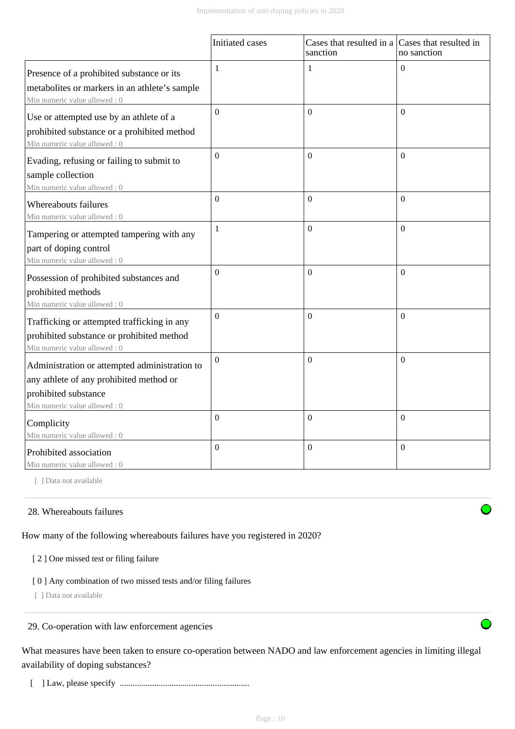|                                                                                                                                                  | Initiated cases  | Cases that resulted in a Cases that resulted in<br>sanction | no sanction      |
|--------------------------------------------------------------------------------------------------------------------------------------------------|------------------|-------------------------------------------------------------|------------------|
| Presence of a prohibited substance or its<br>metabolites or markers in an athlete's sample<br>Min numeric value allowed: 0                       | $\mathbf{1}$     | 1                                                           | $\theta$         |
| Use or attempted use by an athlete of a<br>prohibited substance or a prohibited method<br>Min numeric value allowed: 0                           | $\overline{0}$   | $\Omega$                                                    | $\theta$         |
| Evading, refusing or failing to submit to<br>sample collection<br>Min numeric value allowed: 0                                                   | $\boldsymbol{0}$ | $\Omega$                                                    | $\Omega$         |
| Whereabouts failures<br>Min numeric value allowed: 0                                                                                             | $\theta$         | $\Omega$                                                    | $\boldsymbol{0}$ |
| Tampering or attempted tampering with any<br>part of doping control<br>Min numeric value allowed: 0                                              | $\mathbf{1}$     | $\boldsymbol{0}$                                            | $\boldsymbol{0}$ |
| Possession of prohibited substances and<br>prohibited methods<br>Min numeric value allowed: 0                                                    | $\theta$         | $\Omega$                                                    | $\theta$         |
| Trafficking or attempted trafficking in any<br>prohibited substance or prohibited method<br>Min numeric value allowed: 0                         | $\boldsymbol{0}$ | $\mathbf{0}$                                                | $\overline{0}$   |
| Administration or attempted administration to<br>any athlete of any prohibited method or<br>prohibited substance<br>Min numeric value allowed: 0 | $\Omega$         | $\boldsymbol{0}$                                            | $\Omega$         |
| Complicity<br>Min numeric value allowed: 0                                                                                                       | $\overline{0}$   | $\boldsymbol{0}$                                            | $\boldsymbol{0}$ |
| Prohibited association<br>Min numeric value allowed: 0                                                                                           | $\Omega$         | $\boldsymbol{0}$                                            | $\boldsymbol{0}$ |

[ ] Data not available

# 28. Whereabouts failures

How many of the following whereabouts failures have you registered in 2020?

[ 2 ] One missed test or filing failure

## [ 0 ] Any combination of two missed tests and/or filing failures

[ ] Data not available

29. Co-operation with law enforcement agencies

What measures have been taken to ensure co-operation between NADO and law enforcement agencies in limiting illegal availability of doping substances?

[ ] Law, please specify ............................................................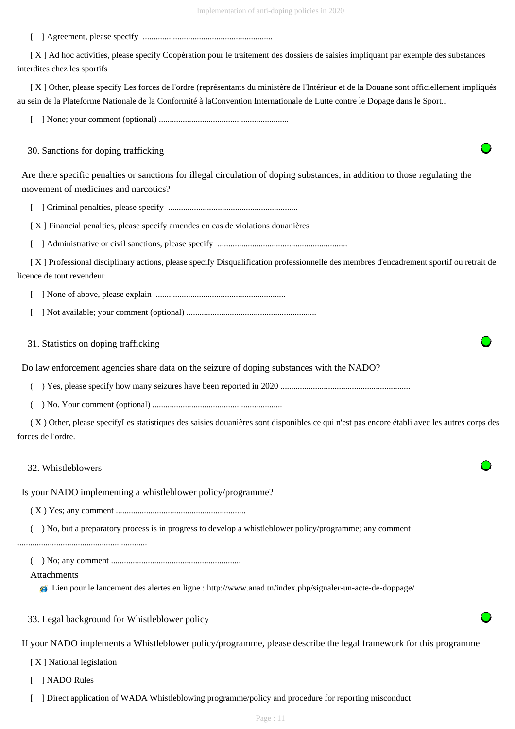[ ] Agreement, please specify ............................................................

 [ X ] Ad hoc activities, please specify Coopération pour le traitement des dossiers de saisies impliquant par exemple des substances interdites chez les sportifs

 [ X ] Other, please specify Les forces de l'ordre (représentants du ministère de l'Intérieur et de la Douane sont officiellement impliqués au sein de la Plateforme Nationale de la Conformité à laConvention Internationale de Lutte contre le Dopage dans le Sport..

[ ] None; your comment (optional) ............................................................

30. Sanctions for doping trafficking

Are there specific penalties or sanctions for illegal circulation of doping substances, in addition to those regulating the movement of medicines and narcotics?

[ ] Criminal penalties, please specify ............................................................

[ X ] Financial penalties, please specify amendes en cas de violations douanières

[ ] Administrative or civil sanctions, please specify ............................................................

 [ X ] Professional disciplinary actions, please specify Disqualification professionnelle des membres d'encadrement sportif ou retrait de licence de tout revendeur

[ ] None of above, please explain ............................................................

[ ] Not available; your comment (optional) ............................................................

31. Statistics on doping trafficking

Do law enforcement agencies share data on the seizure of doping substances with the NADO?

( ) Yes, please specify how many seizures have been reported in 2020 ............................................................

( ) No. Your comment (optional) ............................................................

 ( X ) Other, please specifyLes statistiques des saisies douanières sont disponibles ce qui n'est pas encore établi avec les autres corps des forces de l'ordre.

#### 32. Whistleblowers

Is your NADO implementing a whistleblower policy/programme?

( X ) Yes; any comment ............................................................

( ) No, but a preparatory process is in progress to develop a whistleblower policy/programme; any comment

............................................................

( ) No; any comment ............................................................

#### Attachments

Lien pour le lancement des alertes en ligne : http://www.anad.tn/index.php/signaler-un-acte-de-doppage/

33. Legal background for Whistleblower policy

If your NADO implements a Whistleblower policy/programme, please describe the legal framework for this programme

[ X ] National legislation

[ ] NADO Rules

[ ] Direct application of WADA Whistleblowing programme/policy and procedure for reporting misconduct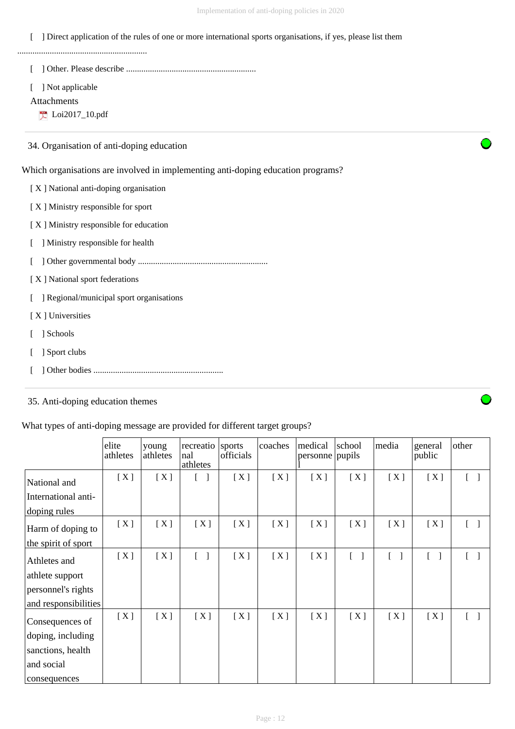[ ] Direct application of the rules of one or more international sports organisations, if yes, please list them

............................................................

- [ ] Other. Please describe ............................................................
- [ ] Not applicable
- Attachments
	- Loi2017\_10.pdf

34. Organisation of anti-doping education

Which organisations are involved in implementing anti-doping education programs?

- [ X ] National anti-doping organisation
- [ X ] Ministry responsible for sport
- [ X ] Ministry responsible for education
- [ ] Ministry responsible for health
- [ ] Other governmental body ............................................................
- [ X ] National sport federations
- [ ] Regional/municipal sport organisations
- [ X ] Universities
- [ ] Schools
- [ ] Sport clubs
- [ ] Other bodies ............................................................

# 35. Anti-doping education themes

## What types of anti-doping message are provided for different target groups?

|                      | elite<br>athletes | young<br>athletes | recreatio<br>nal<br>athletes      | sports<br>officials | coaches | medical<br>personne pupils | school                            | media                             | general<br>public | other  |
|----------------------|-------------------|-------------------|-----------------------------------|---------------------|---------|----------------------------|-----------------------------------|-----------------------------------|-------------------|--------|
| National and         | [X]               | [X]               |                                   | [X]                 | [X]     | [X]                        | [X]                               | [X]                               | [X]               |        |
| International anti-  |                   |                   |                                   |                     |         |                            |                                   |                                   |                   |        |
| doping rules         |                   |                   |                                   |                     |         |                            |                                   |                                   |                   |        |
| Harm of doping to    | [X]               | [X]               | [X]                               | [X]                 | [X]     | [X]                        | [X]                               | [X]                               | [X]               |        |
| the spirit of sport  |                   |                   |                                   |                     |         |                            |                                   |                                   |                   |        |
| Athletes and         | [X]               | [X]               | $\begin{bmatrix} 1 \end{bmatrix}$ | [X]                 | [X]     | [X]                        | $\begin{bmatrix} 1 \end{bmatrix}$ | $\begin{bmatrix} 1 \end{bmatrix}$ | $[\ ]$            |        |
| athlete support      |                   |                   |                                   |                     |         |                            |                                   |                                   |                   |        |
| personnel's rights   |                   |                   |                                   |                     |         |                            |                                   |                                   |                   |        |
| and responsibilities |                   |                   |                                   |                     |         |                            |                                   |                                   |                   |        |
| Consequences of      | [X]               | [X]               | [X]                               | [X]                 | [X]     | [X]                        | [X]                               | [X]                               | [X]               | $[\ ]$ |
| doping, including    |                   |                   |                                   |                     |         |                            |                                   |                                   |                   |        |
| sanctions, health    |                   |                   |                                   |                     |         |                            |                                   |                                   |                   |        |
| and social           |                   |                   |                                   |                     |         |                            |                                   |                                   |                   |        |
| consequences         |                   |                   |                                   |                     |         |                            |                                   |                                   |                   |        |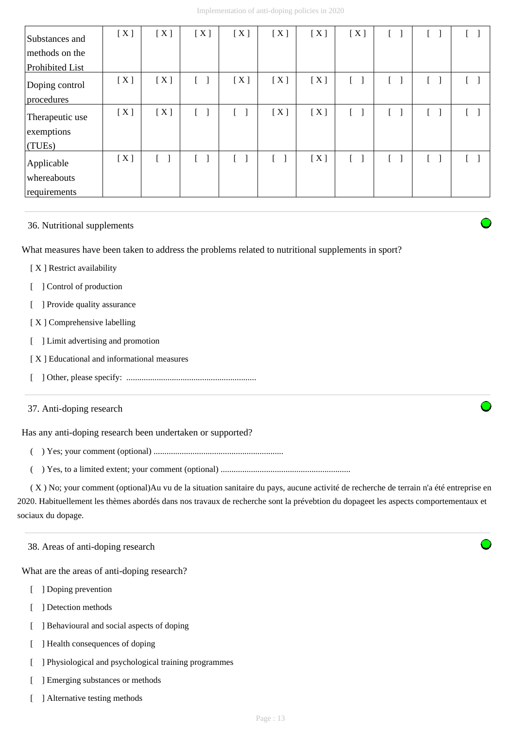| Substances and  | [X] | [X]          | [X]                               | [X] | [X] | [X] | [X]                                   |                                   | $\begin{bmatrix} 1 \end{bmatrix}$ |  |
|-----------------|-----|--------------|-----------------------------------|-----|-----|-----|---------------------------------------|-----------------------------------|-----------------------------------|--|
| methods on the  |     |              |                                   |     |     |     |                                       |                                   |                                   |  |
| Prohibited List |     |              |                                   |     |     |     |                                       |                                   |                                   |  |
| Doping control  | [X] | [X]          | $\lceil$ 1                        | [X] | [X] | [X] | $\mathsf{L}$                          | $\begin{bmatrix} 1 \end{bmatrix}$ | $\begin{bmatrix} 1 \end{bmatrix}$ |  |
| procedures      |     |              |                                   |     |     |     |                                       |                                   |                                   |  |
| Therapeutic use | [X] | [X]          | $\begin{bmatrix} & \end{bmatrix}$ |     | [X] | [X] | $\begin{bmatrix} 1 \end{bmatrix}$     | $\begin{bmatrix} 1 \end{bmatrix}$ | $\begin{bmatrix} 1 \end{bmatrix}$ |  |
| exemptions      |     |              |                                   |     |     |     |                                       |                                   |                                   |  |
| (TUES)          |     |              |                                   |     |     |     |                                       |                                   |                                   |  |
| Applicable      | [X] | $\mathsf{L}$ | l 1                               |     |     | [X] | $\begin{bmatrix} 1 & 1 \end{bmatrix}$ | $\begin{bmatrix} 1 \end{bmatrix}$ | $\begin{bmatrix} 1 \end{bmatrix}$ |  |
| whereabouts     |     |              |                                   |     |     |     |                                       |                                   |                                   |  |
| requirements    |     |              |                                   |     |     |     |                                       |                                   |                                   |  |

# 36. Nutritional supplements

What measures have been taken to address the problems related to nutritional supplements in sport?

- [ X ] Restrict availability
- [ ] Control of production
- [ ] Provide quality assurance
- [X] Comprehensive labelling
- [ ] Limit advertising and promotion
- [ X ] Educational and informational measures
- [ ] Other, please specify: ............................................................

# 37. Anti-doping research

Has any anti-doping research been undertaken or supported?

- ( ) Yes; your comment (optional) ............................................................
- ( ) Yes, to a limited extent; your comment (optional) ............................................................

 ( X ) No; your comment (optional)Au vu de la situation sanitaire du pays, aucune activité de recherche de terrain n'a été entreprise en 2020. Habituellement les thèmes abordés dans nos travaux de recherche sont la prévebtion du dopageet les aspects comportementaux et sociaux du dopage.

# 38. Areas of anti-doping research

What are the areas of anti-doping research?

- [ ] Doping prevention
- [ ] Detection methods
- [ ] Behavioural and social aspects of doping
- [ ] Health consequences of doping
- [ ] Physiological and psychological training programmes
- [ ] Emerging substances or methods
- [ ] Alternative testing methods